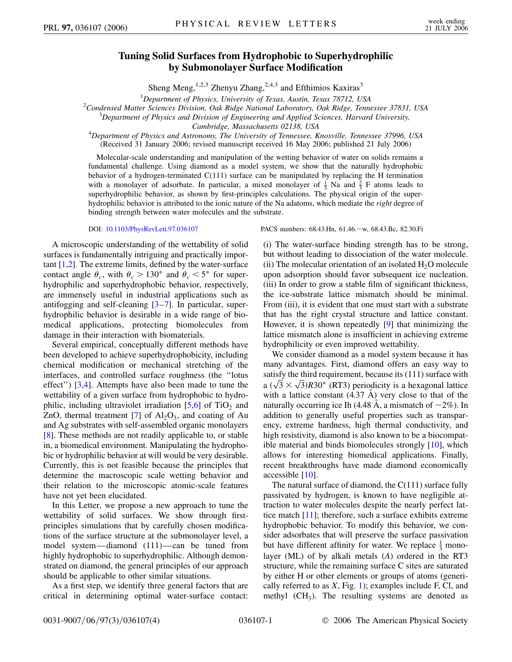## **Tuning Solid Surfaces from Hydrophobic to Superhydrophilic by Submonolayer Surface Modification**

Sheng Meng,<sup>1,2,3</sup> Zhenyu Zhang,<sup>2,4,3</sup> and Efthimios Kaxiras<sup>3</sup>

<sup>1</sup> Department of Physics, University of Texas, Austin, Texas 78712, USA<br><sup>2</sup>Condansed Matter Sciences Division, Oak Pidee National Laboratory, Oak Pidee, Tenn

<sup>2</sup> Condensed Matter Sciences Division, Oak Ridge National Laboratory, Oak Ridge, Tennessee 37831, USA

*Department of Physics and Division of Engineering and Applied Sciences, Harvard University,*

*Cambridge, Massachusetts 02138, USA* <sup>4</sup> *Department of Physics and Astronomy, The University of Tennessee, Knoxville, Tennessee 37996, USA* (Received 31 January 2006; revised manuscript received 16 May 2006; published 21 July 2006)

Molecular-scale understanding and manipulation of the wetting behavior of water on solids remains a fundamental challenge. Using diamond as a model system, we show that the naturally hydrophobic behavior of a hydrogen-terminated C(111) surface can be manipulated by replacing the H termination with a monolayer of adsorbate. In particular, a mixed monolayer of  $\frac{1}{3}$  Na and  $\frac{2}{3}$  F atoms leads to superhydrophilic behavior, as shown by first-principles calculations. The physical origin of the superhydrophilic behavior is attributed to the ionic nature of the Na adatoms, which mediate the *right* degree of binding strength between water molecules and the substrate.

A microscopic understanding of the wettability of solid surfaces is fundamentally intriguing and practically important  $[1,2]$  $[1,2]$  $[1,2]$ . The extreme limits, defined by the water-surface contact angle  $\theta_c$ , with  $\theta_c > 130^\circ$  and  $\theta_c < 5^\circ$  for superhydrophilic and superhydrophobic behavior, respectively, are immensely useful in industrial applications such as antifogging and self-cleaning [[3](#page-3-2)[–7\]](#page-3-3). In particular, superhydrophilic behavior is desirable in a wide range of biomedical applications, protecting biomolecules from damage in their interaction with biomaterials.

Several empirical, conceptually different methods have been developed to achieve superhydrophobicity, including chemical modification or mechanical stretching of the interfaces, and controlled surface roughness (the ''lotus effect'') [\[3,](#page-3-2)[4\]](#page-3-4). Attempts have also been made to tune the wettability of a given surface from hydrophobic to hydrophilic, including ultraviolet irradiation  $[5,6]$  $[5,6]$  $[5,6]$  $[5,6]$  of TiO<sub>2</sub> and ZnO, thermal treatment  $[7]$  of  $Al_2O_3$ , and coating of Au and Ag substrates with self-assembled organic monolayers [\[8\]](#page-3-7). These methods are not readily applicable to, or stable in, a biomedical environment. Manipulating the hydrophobic or hydrophilic behavior at will would be very desirable. Currently, this is not feasible because the principles that determine the macroscopic scale wetting behavior and their relation to the microscopic atomic-scale features have not yet been elucidated.

In this Letter, we propose a new approach to tune the wettability of solid surfaces. We show through firstprinciples simulations that by carefully chosen modifications of the surface structure at the submonolayer level, a model system—diamond (111)—can be tuned from highly hydrophobic to superhydrophilic. Although demonstrated on diamond, the general principles of our approach should be applicable to other similar situations.

As a first step, we identify three general factors that are critical in determining optimal water-surface contact:

DOI: [10.1103/PhysRevLett.97.036107](http://dx.doi.org/10.1103/PhysRevLett.97.036107) PACS numbers: 68.43.Hn, 61.46. - w, 68.43.Bc, 82.30.Fi

(i) The water-surface binding strength has to be strong, but without leading to dissociation of the water molecule. (ii) The molecular orientation of an isolated  $H_2O$  molecule upon adsorption should favor subsequent ice nucleation. (iii) In order to grow a stable film of significant thickness, the ice-substrate lattice mismatch should be minimal. From (iii), it is evident that one must start with a substrate that has the right crystal structure and lattice constant. However, it is shown repeatedly [\[9](#page-3-8)] that minimizing the lattice mismatch alone is insufficient in achieving extreme hydrophilicity or even improved wettability.

We consider diamond as a model system because it has many advantages. First, diamond offers an easy way to satisfy the third requirement, because its (111) surface with satisfy the third requirement, because its (111) surface with<br>a  $(\sqrt{3} \times \sqrt{3})$ R30° (RT3) periodicity is a hexagonal lattice with a lattice constant  $(4.37 \text{ Å})$  very close to that of the naturally occurring ice Ih (4.48 Å, a mismatch of  $\sim$ 2%). In addition to generally useful properties such as transparency, extreme hardness, high thermal conductivity, and high resistivity, diamond is also known to be a biocompatible material and binds biomolecules strongly [[10](#page-3-9)], which allows for interesting biomedical applications. Finally, recent breakthroughs have made diamond economically accessible [\[10\]](#page-3-9).

The natural surface of diamond, the C(111) surface fully passivated by hydrogen, is known to have negligible attraction to water molecules despite the nearly perfect lattice match [[11](#page-3-10)]; therefore, such a surface exhibits extreme hydrophobic behavior. To modify this behavior, we consider adsorbates that will preserve the surface passivation but have different affinity for water. We replace  $\frac{1}{3}$  monolayer (ML) of by alkali metals (*A*) ordered in the RT3 structure, while the remaining surface C sites are saturated by either H or other elements or groups of atoms (generically referred to as *X*, Fig. [1\)](#page-1-0); examples include F, Cl, and methyl  $(CH<sub>3</sub>)$ . The resulting systems are denoted as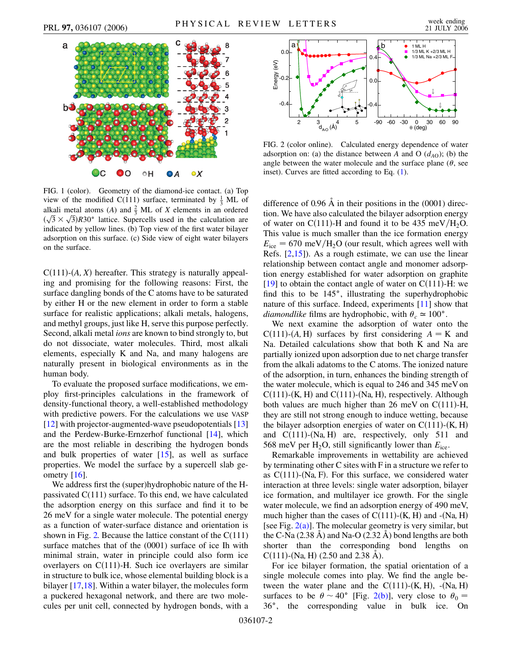<span id="page-1-0"></span>

FIG. 1 (color). Geometry of the diamond-ice contact. (a) Top view of the modified C(111) surface, terminated by  $\frac{1}{3}$  ML of alkali metal atoms (*A*) and  $\frac{2}{3}$  ML of *X* elements in an ordered alkan metal atoms (A) and  $\frac{2}{3}$  ML of X elements in an ordered  $(\sqrt{3} \times \sqrt{3})$ R30<sup>o</sup> lattice. Supercells used in the calculation are indicated by yellow lines. (b) Top view of the first water bilayer adsorption on this surface. (c) Side view of eight water bilayers on the surface.

 $C(111)$ - $(A, X)$  hereafter. This strategy is naturally appealing and promising for the following reasons: First, the surface dangling bonds of the C atoms have to be saturated by either H or the new element in order to form a stable surface for realistic applications; alkali metals, halogens, and methyl groups, just like H, serve this purpose perfectly. Second, alkali metal *ions* are known to bind strongly to, but do not dissociate, water molecules. Third, most alkali elements, especially K and Na, and many halogens are naturally present in biological environments as in the human body.

To evaluate the proposed surface modifications, we employ first-principles calculations in the framework of density-functional theory, a well-established methodology with predictive powers. For the calculations we use VASP [\[12\]](#page-3-11) with projector-augmented-wave pseudopotentials [\[13\]](#page-3-12) and the Perdew-Burke-Ernzerhof functional [\[14\]](#page-3-13), which are the most reliable in describing the hydrogen bonds and bulk properties of water [[15](#page-3-14)], as well as surface properties. We model the surface by a supercell slab ge-ometry [\[16\]](#page-3-15).

We address first the (super)hydrophobic nature of the Hpassivated  $C(111)$  surface. To this end, we have calculated the adsorption energy on this surface and find it to be 26 meV for a single water molecule. The potential energy as a function of water-surface distance and orientation is shown in Fig. [2.](#page-1-1) Because the lattice constant of the  $C(111)$ surface matches that of the (0001) surface of ice Ih with minimal strain, water in principle could also form ice overlayers on  $C(111)$ -H. Such ice overlayers are similar in structure to bulk ice, whose elemental building block is a bilayer [[17](#page-3-16)[,18](#page-3-17)]. Within a water bilayer, the molecules form a puckered hexagonal network, and there are two molecules per unit cell, connected by hydrogen bonds, with a

<span id="page-1-1"></span>

<span id="page-1-2"></span>FIG. 2 (color online). Calculated energy dependence of water adsorption on: (a) the distance between *A* and O  $(d_{AO})$ ; (b) the angle between the water molecule and the surface plane  $(\theta)$ , see inset). Curves are fitted according to Eq. [\(1](#page-2-0)).

difference of 0.96  $\AA$  in their positions in the (0001) direction. We have also calculated the bilayer adsorption energy of water on C(111)-H and found it to be 435 meV/ $H_2O$ . This value is much smaller than the ice formation energy  $E_{\text{ice}} = 670 \text{ meV}/\text{H}_2\text{O}$  (our result, which agrees well with Refs.  $[2,15]$  $[2,15]$  $[2,15]$  $[2,15]$  $[2,15]$ ). As a rough estimate, we can use the linear relationship between contact angle and monomer adsorption energy established for water adsorption on graphite [\[19\]](#page-3-18) to obtain the contact angle of water on  $C(111)$ -H: we find this to be 145°, illustrating the superhydrophobic nature of this surface. Indeed, experiments [\[11\]](#page-3-10) show that *diamondlike* films are hydrophobic, with  $\theta_c \approx 100^\circ$ .

We next examine the adsorption of water onto the  $C(111)-(A,H)$  surfaces by first considering  $A = K$  and Na. Detailed calculations show that both K and Na are partially ionized upon adsorption due to net charge transfer from the alkali adatoms to the C atoms. The ionized nature of the adsorption, in turn, enhances the binding strength of the water molecule, which is equal to 246 and 345 meV on  $C(111)$ -(K, H) and  $C(111)$ -(Na, H), respectively. Although both values are much higher than  $26 \text{ meV}$  on C(111)-H, they are still not strong enough to induce wetting, because the bilayer adsorption energies of water on  $C(111)-(K<sub>r</sub>, H)$ and C(111)-(Na<sub>r</sub> H) are, respectively, only 511 and 568 meV per  $H_2O$ , still significantly lower than  $E_{\text{ice}}$ .

Remarkable improvements in wettability are achieved by terminating other C sites with F in a structure we refer to as  $C(111)$ -(Na, F). For this surface, we considered water interaction at three levels: single water adsorption, bilayer ice formation, and multilayer ice growth. For the single water molecule, we find an adsorption energy of 490 meV, much higher than the cases of  $C(111)$ - $(K, H)$  and  $-(Na, H)$ [see Fig.  $2(a)$ ]. The molecular geometry is very similar, but the C-Na  $(2.38 \text{ A})$  and Na-O  $(2.32 \text{ A})$  bond lengths are both shorter than the corresponding bond lengths on  $C(111)$ -(Na, H) (2.50 and 2.38 Å).

For ice bilayer formation, the spatial orientation of a single molecule comes into play. We find the angle between the water plane and the  $C(111)-(K, H)$ ,  $-(Na, H)$ surfaces to be  $\theta \sim 40^{\circ}$  [Fig. [2\(b\)](#page-1-2)], very close to  $\theta_0 =$ 36-, the corresponding value in bulk ice. On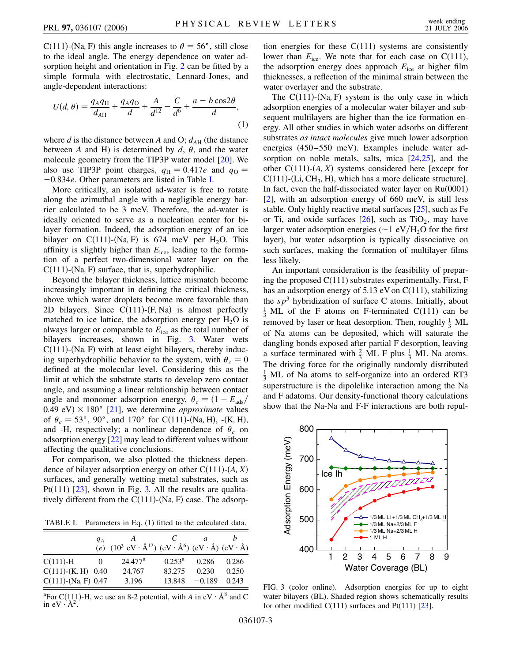C(111)-(Na, F) this angle increases to  $\theta = 56^{\circ}$ , still close to the ideal angle. The energy dependence on water adsorption height and orientation in Fig. [2](#page-1-1) can be fitted by a simple formula with electrostatic, Lennard-Jones, and angle-dependent interactions:

<span id="page-2-0"></span>
$$
U(d, \theta) = \frac{q_A q_H}{d_{AH}} + \frac{q_A q_O}{d} + \frac{A}{d^{12}} - \frac{C}{d^6} + \frac{a - b \cos 2\theta}{d},
$$
\n(1)

where *d* is the distance between *A* and O;  $d_{AH}$  (the distance between *A* and H) is determined by  $d$ ,  $\theta$ , and the water molecule geometry from the TIP3P water model [[20](#page-3-19)]. We also use TIP3P point charges,  $q_H = 0.417e$  and  $q_O =$ 0*:*834*e*. Other parameters are listed in Table [I](#page-2-1).

More critically, an isolated ad-water is free to rotate along the azimuthal angle with a negligible energy barrier calculated to be 3 meV. Therefore, the ad-water is ideally oriented to serve as a nucleation center for bilayer formation. Indeed, the adsorption energy of an ice bilayer on  $C(111)$ -(Na, F) is 674 meV per H<sub>2</sub>O. This affinity is slightly higher than  $E<sub>ice</sub>$ , leading to the formation of a perfect two-dimensional water layer on the  $C(111)$ -(Na, F) surface, that is, superhydrophilic.

Beyond the bilayer thickness, lattice mismatch become increasingly important in defining the critical thickness, above which water droplets become more favorable than 2D bilayers. Since  $C(111)-(F, Na)$  is almost perfectly matched to ice lattice, the adsorption energy per  $H_2O$  is always larger or comparable to  $E<sub>ice</sub>$  as the total number of bilayers increases, shown in Fig. [3.](#page-2-2) Water wets  $C(111)$ -(Na, F) with at least eight bilayers, thereby inducing superhydrophilic behavior to the system, with  $\theta_c = 0$ defined at the molecular level. Considering this as the limit at which the substrate starts to develop zero contact angle, and assuming a linear relationship between contact angle and monomer adsorption energy,  $\theta_c = (1 - E_{ads}/$  $(0.49 \text{ eV}) \times 180^{\circ}$  [\[21\]](#page-3-20), we determine *approximate* values of  $\theta_c = 53^\circ$ , 90°, and 170° for C(111)-(Na, H), -(K, H), and -H, respectively; a nonlinear dependence of  $\theta_c$  on adsorption energy [\[22\]](#page-3-21) may lead to different values without affecting the qualitative conclusions.

For comparison, we also plotted the thickness dependence of bilayer adsorption energy on other  $C(111)$ - $(A, X)$ surfaces, and generally wetting metal substrates, such as Pt(111)  $[23]$ , shown in Fig. [3.](#page-2-2) All the results are qualitatively different from the  $C(111)$ -(Na, F) case. The adsorp-

<span id="page-2-1"></span>TABLE I. Parameters in Eq. ([1](#page-2-0)) fitted to the calculated data.

|                          | $q_A$ | (e) $(10^3 \text{ eV} \cdot \text{\AA}^{12})$ (eV $\cdot \text{\AA}^{6}$ ) (eV $\cdot \text{\AA}$ ) (eV $\cdot \text{\AA}$ ) |                 | a        |       |
|--------------------------|-------|------------------------------------------------------------------------------------------------------------------------------|-----------------|----------|-------|
| $C(111) - H$             |       | $24.477^{\rm a}$                                                                                                             | $0.253^{\rm a}$ | 0.286    | 0.286 |
| $C(111)$ - $(K, H)$ 0.40 |       | 24.767                                                                                                                       | 83.275          | 0.230    | 0.250 |
| $C(111)$ -(Na, F) 0.47   |       | 3.196                                                                                                                        | 13.848          | $-0.189$ | 0.243 |

<sup>a</sup>For C(111)-H, we use an 8-2 potential, with *A* in eV  $\cdot$  Å<sup>8</sup> and C in  $eV \cdot A^2$ .

tion energies for these  $C(111)$  systems are consistently lower than  $E_{\text{ice}}$ . We note that for each case on C(111), the adsorption energy does approach *E*ice at higher film thicknesses, a reflection of the minimal strain between the water overlayer and the substrate.

The  $C(111)$ -(Na, F) system is the only case in which adsorption energies of a molecular water bilayer and subsequent multilayers are higher than the ice formation energy. All other studies in which water adsorbs on different substrates *as intact molecules* give much lower adsorption energies (450–550 meV). Examples include water adsorption on noble metals, salts, mica [\[24](#page-3-23)[,25\]](#page-3-24), and the other  $C(111)$ - $(A, X)$  systems considered here [except for C(111)-(Li, CH<sub>3</sub>, H), which has a more delicate structure]. In fact, even the half-dissociated water layer on Ru(0001) [\[2\]](#page-3-1), with an adsorption energy of 660 meV, is still less stable. Only highly reactive metal surfaces [\[25\]](#page-3-24), such as Fe or Ti, and oxide surfaces  $[26]$  $[26]$  $[26]$ , such as TiO<sub>2</sub>, may have larger water adsorption energies ( $\sim$  1 eV/ $H_2O$  for the first layer), but water adsorption is typically dissociative on such surfaces, making the formation of multilayer films less likely.

An important consideration is the feasibility of preparing the proposed C(111) substrates experimentally. First, F has an adsorption energy of 5.13 eV on C(111), stabilizing the  $sp<sup>3</sup>$  hybridization of surface C atoms. Initially, about  $\frac{1}{3}$  ML of the F atoms on F-terminated C(111) can be removed by laser or heat desorption. Then, roughly  $\frac{1}{3}$  ML of Na atoms can be deposited, which will saturate the dangling bonds exposed after partial F desorption, leaving a surface terminated with  $\frac{2}{3}$  ML F plus  $\frac{1}{3}$  ML Na atoms. The driving force for the originally randomly distributed  $\frac{1}{3}$  ML of Na atoms to self-organize into an ordered RT3 superstructure is the dipolelike interaction among the Na and F adatoms. Our density-functional theory calculations show that the Na-Na and F-F interactions are both repul-

<span id="page-2-2"></span>

FIG. 3 (color online). Adsorption energies for up to eight water bilayers (BL). Shaded region shows schematically results for other modified  $C(111)$  surfaces and  $Pt(111)$  [[23](#page-3-22)].